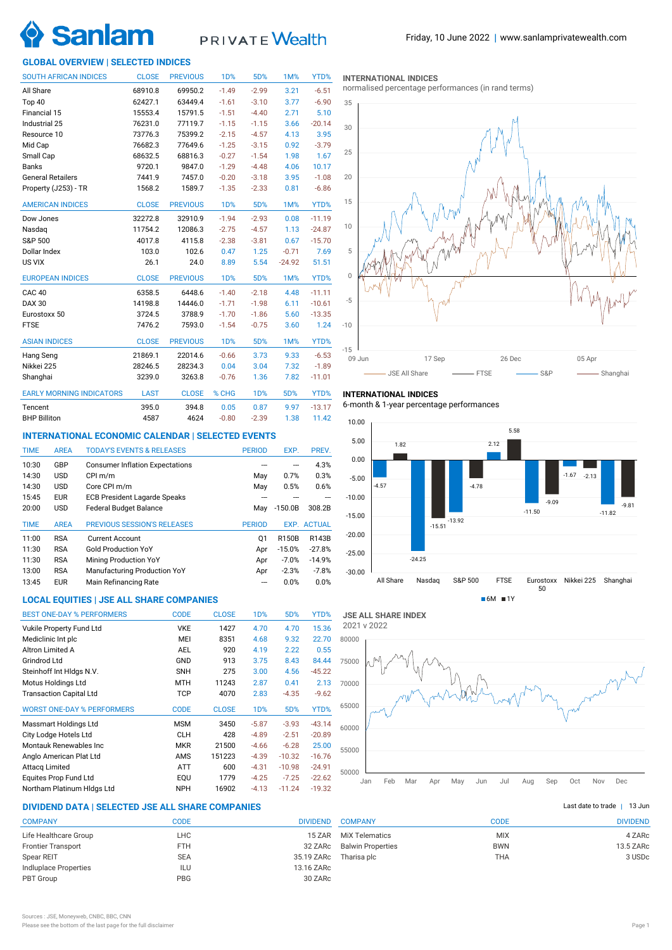

# PRIVATE Wealth

# **GLOBAL OVERVIEW | SELECTED INDICES**

| <b>SOUTH AFRICAN INDICES</b>    | <b>CLOSE</b> | <b>PREVIOUS</b> | 1 <sub>D</sub> % | 5D%              | 1M%      | YTD%     |
|---------------------------------|--------------|-----------------|------------------|------------------|----------|----------|
| All Share                       | 68910.8      | 69950.2         | $-1.49$          | $-2.99$          | 3.21     | $-6.51$  |
| Top 40                          | 62427.1      | 63449.4         | $-1.61$          | $-3.10$          | 3.77     | $-6.90$  |
| Financial 15                    | 15553.4      | 15791.5         | $-1.51$          | $-4.40$          | 2.71     | 5.10     |
| Industrial 25                   | 76231.0      | 77119.7         | $-1.15$          | $-1.15$          | 3.66     | $-20.14$ |
| Resource 10                     | 73776.3      | 75399.2         | $-2.15$          | $-4.57$          | 4.13     | 3.95     |
| Mid Cap                         | 76682.3      | 77649.6         | $-1.25$          | $-3.15$          | 0.92     | $-3.79$  |
| Small Cap                       | 68632.5      | 68816.3         | $-0.27$          | $-1.54$          | 1.98     | 1.67     |
| <b>Banks</b>                    | 9720.1       | 9847.0          | $-1.29$          | $-4.48$          | 4.06     | 10.17    |
| <b>General Retailers</b>        | 7441.9       | 7457.0          | $-0.20$          | $-3.18$          | 3.95     | $-1.08$  |
| Property (J253) - TR            | 1568.2       | 1589.7          | $-1.35$          | $-2.33$          | 0.81     | $-6.86$  |
| <b>AMERICAN INDICES</b>         | <b>CLOSE</b> | <b>PREVIOUS</b> | <b>1D%</b>       | 5D%              | 1M%      | YTD%     |
| Dow Jones                       | 32272.8      | 32910.9         | $-1.94$          | $-2.93$          | 0.08     | $-11.19$ |
| Nasdag                          | 11754.2      | 12086.3         | $-2.75$          | $-4.57$          | 1.13     | $-24.87$ |
| S&P 500                         | 4017.8       | 4115.8          | $-2.38$          | $-3.81$          | 0.67     | $-15.70$ |
| Dollar Index                    | 103.0        | 102.6           | 0.47             | 1.25             | $-0.71$  | 7.69     |
| US VIX                          | 26.1         | 24.0            | 8.89             | 5.54             | $-24.92$ | 51.51    |
| <b>EUROPEAN INDICES</b>         | <b>CLOSE</b> | <b>PREVIOUS</b> | <b>1D%</b>       | 5D%              | 1M%      | YTD%     |
| <b>CAC 40</b>                   | 6358.5       | 6448.6          | $-1.40$          | $-2.18$          | 4.48     | $-11.11$ |
| <b>DAX 30</b>                   | 14198.8      | 14446.0         | $-1.71$          | $-1.98$          | 6.11     | $-10.61$ |
| Eurostoxx 50                    | 3724.5       | 3788.9          | $-1.70$          | $-1.86$          | 5.60     | $-13.35$ |
| <b>FTSE</b>                     | 7476.2       | 7593.0          | $-1.54$          | $-0.75$          | 3.60     | 1.24     |
| <b>ASIAN INDICES</b>            | <b>CLOSE</b> | <b>PREVIOUS</b> | <b>1D%</b>       | 5D%              | 1M%      | YTD%     |
| Hang Seng                       | 21869.1      | 22014.6         | $-0.66$          | 3.73             | 9.33     | $-6.53$  |
| Nikkei 225                      | 28246.5      | 28234.3         | 0.04             | 3.04             | 7.32     | $-1.89$  |
| Shanghai                        | 3239.0       | 3263.8          | $-0.76$          | 1.36             | 7.82     | $-11.01$ |
| <b>EARLY MORNING INDICATORS</b> | <b>LAST</b>  | <b>CLOSE</b>    | % CHG            | 1 <sub>D</sub> % | 5D%      | YTD%     |
| Tencent                         | 395.0        | 394.8           | 0.05             | 0.87             | 9.97     | $-13.17$ |
| <b>BHP Billiton</b>             | 4587         | 4624            | $-0.80$          | $-2.39$          | 1.38     | 11.42    |

# **INTERNATIONAL ECONOMIC CALENDAR | SELECTED EVENTS**

| <b>TIME</b> | <b>AREA</b> | <b>TODAY'S EVENTS &amp; RELEASES</b>   | <b>PERIOD</b> | EXP.      | PREV.              |
|-------------|-------------|----------------------------------------|---------------|-----------|--------------------|
| 10:30       | GBP         | <b>Consumer Inflation Expectations</b> |               |           | 4.3%               |
| 14:30       | <b>USD</b>  | CPI m/m                                | May           | 0.7%      | 0.3%               |
| 14:30       | <b>USD</b>  | Core CPI m/m                           | May           | 0.5%      | 0.6%               |
| 15:45       | <b>EUR</b>  | <b>ECB President Lagarde Speaks</b>    |               |           |                    |
| 20:00       | <b>USD</b>  | <b>Federal Budget Balance</b>          | Mav           | $-150.0B$ | 308.2B             |
|             |             |                                        |               |           |                    |
| <b>TIME</b> | <b>AREA</b> | <b>PREVIOUS SESSION'S RELEASES</b>     | <b>PERIOD</b> |           | <b>EXP. ACTUAL</b> |
| 11:00       | <b>RSA</b>  | <b>Current Account</b>                 | 01            | R150B     | R143B              |
| 11:30       | <b>RSA</b>  | <b>Gold Production YoY</b>             | Apr           | $-15.0%$  | $-27.8%$           |
| 11:30       | <b>RSA</b>  | <b>Mining Production YoY</b>           | Apr           | $-7.0%$   | $-14.9%$           |
| 13:00       | <b>RSA</b>  | Manufacturing Production YoY           | Apr           | $-2.3%$   | $-7.8%$            |
| 13:45       | <b>EUR</b>  | Main Refinancing Rate                  | ---           | 0.0%      | 0.0%               |

# **LOCAL EQUITIES | JSE ALL SHARE COMPANIES**

| <b>BEST ONE-DAY % PERFORMERS</b>  | <b>CODE</b> | <b>CLOSE</b> | 1D%              | 5D%      | YTD%     |
|-----------------------------------|-------------|--------------|------------------|----------|----------|
| Vukile Property Fund Ltd          | <b>VKE</b>  | 1427         | 4.70             | 4.70     | 15.36    |
| Mediclinic Int plc                | MEI         | 8351         | 4.68             | 9.32     | 22.70    |
| Altron Limited A                  | <b>AEL</b>  | 920          | 4.19             | 2.22     | 0.55     |
| Grindrod Ltd                      | GND         | 913          | 3.75             | 8.43     | 84.44    |
| Steinhoff Int HIdgs N.V.          | <b>SNH</b>  | 275          | 3.00             | 4.56     | $-45.22$ |
| Motus Holdings Ltd                | <b>MTH</b>  | 11243        | 2.87             | 0.41     | 2.13     |
| <b>Transaction Capital Ltd</b>    | TCP         | 4070         | 2.83             | $-4.35$  | $-9.62$  |
| <b>WORST ONE-DAY % PERFORMERS</b> | <b>CODE</b> | <b>CLOSE</b> | 1 <sub>D</sub> % | 5D%      | YTD%     |
| Massmart Holdings Ltd             | <b>MSM</b>  | 3450         | $-5.87$          | $-3.93$  | $-43.14$ |
| City Lodge Hotels Ltd             | <b>CLH</b>  | 428          | $-4.89$          | $-2.51$  | $-20.89$ |
| Montauk Renewables Inc            | <b>MKR</b>  | 21500        | $-4.66$          | $-6.28$  | 25.00    |
| Anglo American Plat Ltd           | AMS         | 151223       | $-4.39$          | $-10.32$ | $-16.76$ |
| Attacg Limited                    | <b>ATT</b>  | 600          | $-4.31$          | $-10.98$ | $-24.91$ |
| <b>Equites Prop Fund Ltd</b>      | EQU         | 1779         | $-4.25$          | $-7.25$  | $-22.62$ |
| Northam Platinum HIdgs Ltd        | <b>NPH</b>  | 16902        | $-4.13$          | $-11.24$ | $-19.32$ |

# **DIVIDEND DATA | SELECTED JSE ALL SHARE COMPANIES |**

| <b>COMPANY</b>            | CODE       | <b>DIVIDEND</b> |
|---------------------------|------------|-----------------|
| Life Healthcare Group     | <b>LHC</b> | 15 ZAR          |
| <b>Frontier Transport</b> | <b>FTH</b> | 32 ZARc         |
| Spear REIT                | <b>SEA</b> | 35.19 ZARc      |
| Indluplace Properties     | ILU        | 13.16 ZARc      |
| PBT Group                 | <b>PBG</b> | 30 ZARc         |
|                           |            |                 |

### **INTERNATIONAL INDICES**

normalised percentage performances (in rand terms)



### **INTERNATIONAL INDICES**

6-month & 1-year percentage performances





| Last date to trade $\ $<br>13 Jur |
|-----------------------------------|
|                                   |

| <b>COMPANY</b>           | CODE       | <b>DIVIDEND</b> |
|--------------------------|------------|-----------------|
| <b>MIX Telematics</b>    | <b>MIX</b> | 4 ZARc          |
| <b>Balwin Properties</b> | <b>BWN</b> | 13.5 ZARc       |
| Tharisa plc              | <b>THA</b> | 3 USDc          |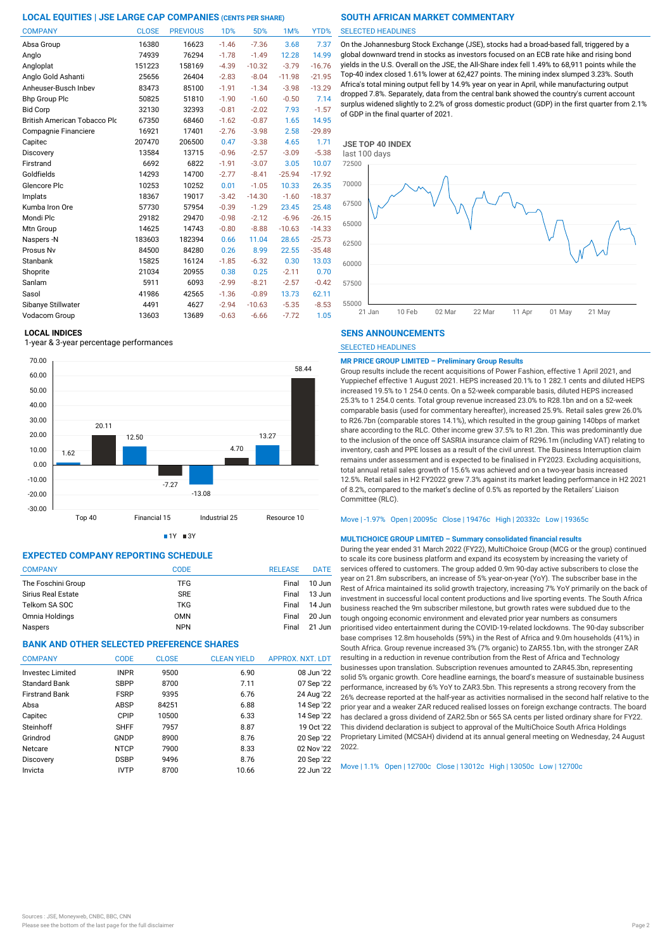| <b>COMPANY</b>                      | <b>CLOSE</b> | <b>PREVIOUS</b> | <b>1D%</b> | 5D%      | 1M%      | YTD%     |
|-------------------------------------|--------------|-----------------|------------|----------|----------|----------|
| Absa Group                          | 16380        | 16623           | $-1.46$    | $-7.36$  | 3.68     | 7.37     |
| Anglo                               | 74939        | 76294           | $-1.78$    | $-1.49$  | 12.28    | 14.99    |
| Angloplat                           | 151223       | 158169          | $-4.39$    | $-10.32$ | $-3.79$  | $-16.76$ |
| Anglo Gold Ashanti                  | 25656        | 26404           | $-2.83$    | $-8.04$  | $-11.98$ | $-21.95$ |
| Anheuser-Busch Inbev                | 83473        | 85100           | $-1.91$    | $-1.34$  | $-3.98$  | $-13.29$ |
| <b>Bhp Group Plc</b>                | 50825        | 51810           | $-1.90$    | $-1.60$  | $-0.50$  | 7.14     |
| <b>Bid Corp</b>                     | 32130        | 32393           | $-0.81$    | $-2.02$  | 7.93     | $-1.57$  |
| <b>British American Tobacco Plo</b> | 67350        | 68460           | $-1.62$    | $-0.87$  | 1.65     | 14.95    |
| Compagnie Financiere                | 16921        | 17401           | $-2.76$    | $-3.98$  | 2.58     | $-29.89$ |
| Capitec                             | 207470       | 206500          | 0.47       | $-3.38$  | 4.65     | 1.71     |
| Discovery                           | 13584        | 13715           | $-0.96$    | $-2.57$  | $-3.09$  | $-5.38$  |
| Firstrand                           | 6692         | 6822            | $-1.91$    | $-3.07$  | 3.05     | 10.07    |
| Goldfields                          | 14293        | 14700           | $-2.77$    | $-8.41$  | $-25.94$ | $-17.92$ |
| Glencore Plc                        | 10253        | 10252           | 0.01       | $-1.05$  | 10.33    | 26.35    |
| Implats                             | 18367        | 19017           | $-3.42$    | $-14.30$ | $-1.60$  | $-18.37$ |
| Kumba Iron Ore                      | 57730        | 57954           | $-0.39$    | $-1.29$  | 23.45    | 25.48    |
| Mondi Plc                           | 29182        | 29470           | $-0.98$    | $-2.12$  | $-6.96$  | $-26.15$ |
| Mtn Group                           | 14625        | 14743           | $-0.80$    | $-8.88$  | $-10.63$ | $-14.33$ |
| Naspers -N                          | 183603       | 182394          | 0.66       | 11.04    | 28.65    | $-25.73$ |
| Prosus Nv                           | 84500        | 84280           | 0.26       | 8.99     | 22.55    | $-35.48$ |
| Stanbank                            | 15825        | 16124           | $-1.85$    | $-6.32$  | 0.30     | 13.03    |
| Shoprite                            | 21034        | 20955           | 0.38       | 0.25     | $-2.11$  | 0.70     |
| Sanlam                              | 5911         | 6093            | $-2.99$    | $-8.21$  | $-2.57$  | $-0.42$  |
| Sasol                               | 41986        | 42565           | $-1.36$    | $-0.89$  | 13.73    | 62.11    |
| Sibanye Stillwater                  | 4491         | 4627            | $-2.94$    | $-10.63$ | $-5.35$  | $-8.53$  |
| Vodacom Group                       | 13603        | 13689           | $-0.63$    | $-6.66$  | $-7.72$  | 1.05     |

### **LOCAL INDICES**

1-year & 3-year percentage performances



 $1Y = 3Y$ 

## **EXPECTED COMPANY REPORTING SCHEDULE**

| <b>COMPANY</b>            | <b>CODE</b> | <b>RELEASE</b> | <b>DATE</b> |
|---------------------------|-------------|----------------|-------------|
| The Foschini Group        | <b>TFG</b>  | Final          | $10$ Jun    |
| <b>Sirius Real Estate</b> | <b>SRE</b>  | Final          | $13$ Jun    |
| Telkom SA SOC             | <b>TKG</b>  | Final          | 14 Jun      |
| Omnia Holdings            | <b>OMN</b>  | Final          | $20$ Jun    |
| Naspers                   | <b>NPN</b>  | Final          | 21 Jun      |

# **BANK AND OTHER SELECTED PREFERENCE SHARES**

| <b>COMPANY</b>          | <b>CODE</b> | <b>CLOSE</b> | <b>CLEAN YIELD</b> | APPROX. NXT. LDT |
|-------------------------|-------------|--------------|--------------------|------------------|
| <b>Invested Limited</b> | <b>INPR</b> | 9500         | 6.90               | 08 Jun '22       |
| Standard Bank           | <b>SBPP</b> | 8700         | 7.11               | 07 Sep '22       |
| <b>Firstrand Bank</b>   | <b>FSRP</b> | 9395         | 6.76               | 24 Aug '22       |
| Absa                    | ABSP        | 84251        | 6.88               | 14 Sep '22       |
| Capitec                 | CPIP        | 10500        | 6.33               | 14 Sep '22       |
| Steinhoff               | <b>SHFF</b> | 7957         | 8.87               | 19 Oct '22       |
| Grindrod                | GNDP        | 8900         | 8.76               | 20 Sep '22       |
| Netcare                 | <b>NTCP</b> | 7900         | 8.33               | 02 Nov '22       |
| Discovery               | <b>DSBP</b> | 9496         | 8.76               | 20 Sep '22       |
| Invicta                 | <b>IVTP</b> | 8700         | 10.66              | 22 Jun '22       |
|                         |             |              |                    |                  |

### SELECTED HEADLINES

On the Johannesburg Stock Exchange (JSE), stocks had a broad-based fall, triggered by a global downward trend in stocks as investors focused on an ECB rate hike and rising bond yields in the U.S. Overall on the JSE, the All-Share index fell 1.49% to 68,911 points while the Top-40 index closed 1.61% lower at 62,427 points. The mining index slumped 3.23%. South Africa's total mining output fell by 14.9% year on year in April, while manufacturing output dropped 7.8%. Separately, data from the central bank showed the country's current account surplus widened slightly to 2.2% of gross domestic product (GDP) in the first quarter from 2.1% of GDP in the final quarter of 2021.



### **SENS ANNOUNCEMENTS**

SELECTED HEADLINES

### **MR PRICE GROUP LIMITED – Preliminary Group Results**

Group results include the recent acquisitions of Power Fashion, effective 1 April 2021, and Yuppiechef effective 1 August 2021. HEPS increased 20.1% to 1 282.1 cents and diluted HEPS increased 19.5% to 1 254.0 cents. On a 52-week comparable basis, diluted HEPS increased 25.3% to 1 254.0 cents. Total group revenue increased 23.0% to R28.1bn and on a 52-week comparable basis (used for commentary hereafter), increased 25.9%. Retail sales grew 26.0% to R26.7bn (comparable stores 14.1%), which resulted in the group gaining 140bps of market share according to the RLC. Other income grew 37.5% to R1.2bn. This was predominantly due to the inclusion of the once off SASRIA insurance claim of R296.1m (including VAT) relating to inventory, cash and PPE losses as a result of the civil unrest. The Business Interruption claim remains under assessment and is expected to be finalised in FY2023. Excluding acquisitions, total annual retail sales growth of 15.6% was achieved and on a two-year basis increased 12.5%. Retail sales in H2 FY2022 grew 7.3% against its market leading performance in H2 2021 of 8.2%, compared to the market's decline of 0.5% as reported by the Retailers' Liaison Committee (RLC).

### Move | -1.97% Open | 20095c Close | 19476c High | 20332c Low | 19365c

### **MULTICHOICE GROUP LIMITED – Summary consolidated financial results**

During the year ended 31 March 2022 (FY22), MultiChoice Group (MCG or the group) continued to scale its core business platform and expand its ecosystem by increasing the variety of services offered to customers. The group added 0.9m 90-day active subscribers to close the year on 21.8m subscribers, an increase of 5% year-on-year (YoY). The subscriber base in the Rest of Africa maintained its solid growth trajectory, increasing 7% YoY primarily on the back of investment in successful local content productions and live sporting events. The South Africa business reached the 9m subscriber milestone, but growth rates were subdued due to the tough ongoing economic environment and elevated prior year numbers as consumers prioritised video entertainment during the COVID-19-related lockdowns. The 90-day subscriber base comprises 12.8m households (59%) in the Rest of Africa and 9.0m households (41%) in South Africa. Group revenue increased 3% (7% organic) to ZAR55.1bn, with the stronger ZAR resulting in a reduction in revenue contribution from the Rest of Africa and Technology businesses upon translation. Subscription revenues amounted to ZAR45.3bn, representing solid 5% organic growth. Core headline earnings, the board's measure of sustainable business performance, increased by 6% YoY to ZAR3.5bn. This represents a strong recovery from the 26% decrease reported at the half-year as activities normalised in the second half relative to the prior year and a weaker ZAR reduced realised losses on foreign exchange contracts. The board has declared a gross dividend of ZAR2.5bn or 565 SA cents per listed ordinary share for FY22. This dividend declaration is subject to approval of the MultiChoice South Africa Holdings Proprietary Limited (MCSAH) dividend at its annual general meeting on Wednesday, 24 August 2022.

Move | 1.1% Open | 12700c Close | 13012c High | 13050c Low | 12700c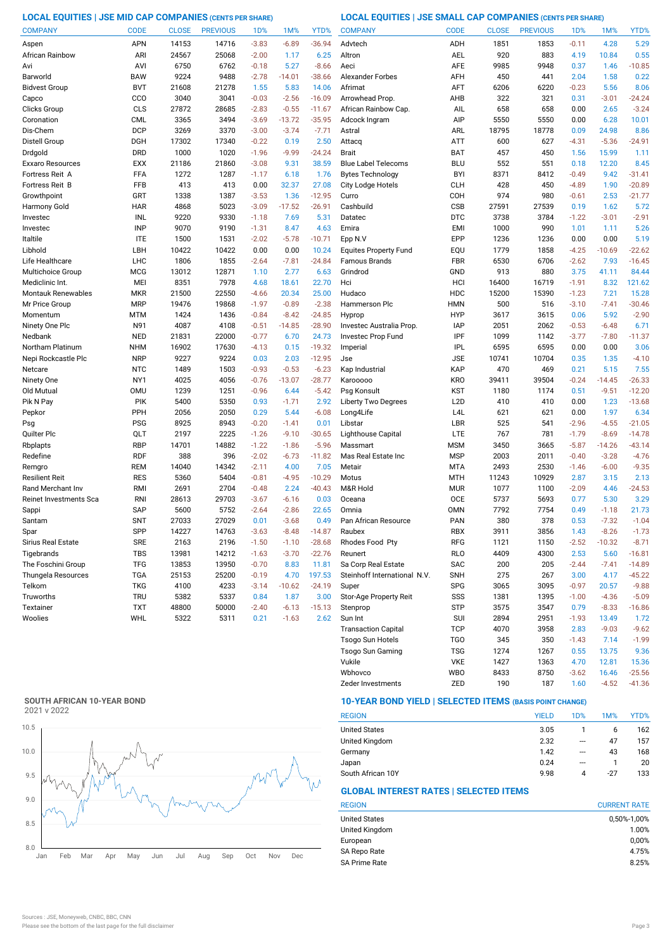**LOCAL EQUITIES | JSE MID CAP COMPANIES (CENTS PER SHARE) LOCAL EQUITIES | JSE SMALL CAP COMPANIES (CENTS PER SHARE)**

| <b>COMPANY</b>           | <b>CODE</b>              | <b>CLOSE</b> | <b>PREVIOUS</b> | 1 <sub>D</sub> %   | 1M%                | YTD%                | <b>COMPANY</b>                  | <b>CODE</b>              | <b>CLOSE</b> | <b>PREVIOUS</b> | 1D%                | 1M%                 | YTD%                |
|--------------------------|--------------------------|--------------|-----------------|--------------------|--------------------|---------------------|---------------------------------|--------------------------|--------------|-----------------|--------------------|---------------------|---------------------|
| Aspen                    | <b>APN</b>               | 14153        | 14716           | $-3.83$            | $-6.89$            | $-36.94$            | Advtech                         | ADH                      | 1851         | 1853            | $-0.11$            | 4.28                | 5.29                |
| African Rainbow          | ARI                      | 24567        | 25068           | $-2.00$            | 1.17               | 6.25                | Altron                          | <b>AEL</b>               | 920          | 883             | 4.19               | 10.84               | 0.55                |
| Avi                      | AVI                      | 6750         | 6762            | $-0.18$            | 5.27               | $-8.66$             | Aeci                            | <b>AFE</b>               | 9985         | 9948            | 0.37               | 1.46                | $-10.85$            |
| Barworld                 | <b>BAW</b>               | 9224         | 9488            | $-2.78$            | $-14.01$           | $-38.66$            | <b>Alexander Forbes</b>         | AFH                      | 450          | 441             | 2.04               | 1.58                | 0.22                |
| <b>Bidvest Group</b>     | <b>BVT</b>               | 21608        | 21278           | 1.55               | 5.83               | 14.06               | Afrimat                         | AFT                      | 6206         | 6220            | $-0.23$            | 5.56                | 8.06                |
| Capco                    | CCO                      | 3040         | 3041            | $-0.03$            | $-2.56$            | $-16.09$            | Arrowhead Prop                  | AHB                      | 322          | 321             | 0.31               | $-3.01$             | $-24.24$            |
| Clicks Group             | CLS                      | 27872        | 28685           | $-2.83$            | $-0.55$            | $-11.67$            | African Rainbow Cap.            | AIL                      | 658          | 658             | 0.00               | 2.65                | $-3.24$             |
| Coronation               | <b>CML</b>               | 3365         | 3494            | $-3.69$            | $-13.72$           | $-35.95$            | Adcock Ingram                   | AIP                      | 5550         | 5550            | 0.00               | 6.28                | 10.01               |
| Dis-Chem                 | <b>DCP</b>               | 3269         | 3370            | $-3.00$            | $-3.74$            | $-7.71$             | Astral                          | ARL                      | 18795        | 18778           | 0.09               | 24.98               | 8.86                |
| Distell Group            | DGH                      | 17302        | 17340           | $-0.22$            | 0.19               | 2.50                | Attacq                          | <b>ATT</b>               | 600          | 627             | $-4.31$            | $-5.36$             | $-24.91$            |
| Drdgold                  | <b>DRD</b>               | 1000         | 1020            | $-1.96$            | $-9.99$            | $-24.24$            | <b>Brait</b>                    | <b>BAT</b>               | 457          | 450             | 1.56               | 15.99               | 1.11                |
| Exxaro Resources         | <b>EXX</b>               | 21186        | 21860           | $-3.08$            | 9.31               | 38.59               | <b>Blue Label Telecoms</b>      | <b>BLU</b>               | 552          | 551             | 0.18               | 12.20               | 8.45                |
| Fortress Reit A          | FFA                      | 1272         | 1287            | $-1.17$            | 6.18               | 1.76                | <b>Bytes Technology</b>         | <b>BYI</b>               | 8371         | 8412            | $-0.49$            | 9.42                | $-31.41$            |
| <b>Fortress Reit B</b>   | FFB                      | 413          | 413             | 0.00               | 32.37              | 27.08               | City Lodge Hotels               | <b>CLH</b>               | 428          | 450             | $-4.89$            | 1.90                | $-20.89$            |
| Growthpoint              | GRT                      | 1338         | 1387            | $-3.53$            | 1.36               | $-12.95$            | Curro                           | COH                      | 974          | 980             | $-0.61$            | 2.53                | $-21.77$            |
| Harmony Gold             | <b>HAR</b>               | 4868         | 5023            | $-3.09$            | $-17.52$           | $-26.91$            | Cashbuild                       | CSB                      | 27591        | 27539           | 0.19               | 1.62                | 5.72                |
| Investec                 | INL                      | 9220         | 9330            | $-1.18$            | 7.69               | 5.31                | Datatec                         | <b>DTC</b>               | 3738         | 3784            | $-1.22$            | $-3.01$             | $-2.91$             |
| Investec                 | <b>INP</b>               | 9070         | 9190            | $-1.31$            | 8.47               | 4.63                | Emira                           | <b>EMI</b>               | 1000         | 990             | 1.01               | 1.11                | 5.26                |
| Italtile                 | <b>ITE</b>               | 1500         | 1531            | $-2.02$            | $-5.78$            | $-10.71$            | Epp N.V                         | EPP                      | 1236         | 1236            | 0.00               | 0.00                | 5.19                |
| Libhold                  | LBH                      | 10422        | 10422           | 0.00               | 0.00               | 10.24               | <b>Equites Property Fund</b>    | EQU                      | 1779         | 1858            | $-4.25$            | $-10.69$            | $-22.62$            |
| Life Healthcare          | LHC                      | 1806         | 1855            | $-2.64$            | $-7.81$            | $-24.84$            | Famous Brands                   | FBR                      | 6530         | 6706            | $-2.62$            | 7.93                | $-16.45$            |
| Multichoice Group        | <b>MCG</b>               | 13012        | 12871           | 1.10               | 2.77               | 6.63                | Grindrod                        | GND                      | 913          | 880             | 3.75               | 41.11               | 84.44               |
| Mediclinic Int.          | MEI                      | 8351         | 7978            | 4.68               | 18.61              | 22.70               | Hci                             | HCI                      | 16400        | 16719           | $-1.91$            | 8.32                | 121.62              |
| Montauk Renewables       | <b>MKR</b>               | 21500        | 22550           | $-4.66$            | 20.34              | 25.00               | Hudaco                          | HDC                      | 15200        | 15390           | $-1.23$            | 7.21                | 15.28               |
| Mr Price Group           | <b>MRP</b>               | 19476        | 19868           | $-1.97$            | $-0.89$            | $-2.38$             | <b>Hammerson Plc</b>            | <b>HMN</b>               | 500          | 516             | $-3.10$            | $-7.41$             | $-30.46$            |
| Momentum                 | <b>MTM</b>               | 1424         | 1436            | $-0.84$            | $-8.42$            | $-24.85$            | Hyprop                          | <b>HYP</b>               | 3617         | 3615            | 0.06               | 5.92                | $-2.90$             |
| Ninety One Plc           | N91                      | 4087         | 4108            | $-0.51$            | $-14.85$           | $-28.90$            | Investec Australia Prop.        | <b>IAP</b>               | 2051         | 2062            | $-0.53$            | $-6.48$             | 6.71                |
| Nedbank                  | <b>NED</b>               | 21831        | 22000           | $-0.77$            | 6.70               | 24.73               | Investec Prop Fund              | IPF                      | 1099         | 1142            | $-3.77$            | $-7.80$             | $-11.37$            |
| Northam Platinum         | <b>NHM</b>               | 16902        | 17630           | $-4.13$            | 0.15               | $-19.32$            | Imperial                        | <b>IPL</b>               | 6595         | 6595            | 0.00               | 0.00                | 3.06                |
| Nepi Rockcastle Plc      | <b>NRP</b>               | 9227         | 9224            | 0.03               | 2.03               | $-12.95$            | Jse                             | <b>JSE</b>               | 10741        | 10704           | 0.35               | 1.35                | $-4.10$             |
| Netcare                  | <b>NTC</b>               | 1489         | 1503            | $-0.93$            | $-0.53$            | $-6.23$             | Kap Industrial                  | KAP                      | 470          | 469             | 0.21               | 5.15                | 7.55                |
| Ninety One               | NY1                      | 4025         | 4056            | $-0.76$            | $-13.07$           | $-28.77$            | Karooooo                        | <b>KRO</b>               | 39411        | 39504           | $-0.24$            | $-14.45$            | $-26.33$            |
| Old Mutual               | <b>OMU</b>               | 1239         | 1251            | $-0.96$            | 6.44               | $-5.42$             | Psg Konsult                     | KST                      | 1180         | 1174            | 0.51               | $-9.51$             | $-12.20$            |
| Pik N Pay                | <b>PIK</b>               | 5400         | 5350            | 0.93               | $-1.71$            | 2.92                | <b>Liberty Two Degrees</b>      | L <sub>2</sub> D         | 410          | 410             | 0.00               | 1.23                | $-13.68$            |
| Pepkor                   | PPH                      | 2056         | 2050            | 0.29               | 5.44               | $-6.08$             | Long4Life                       | L <sub>4</sub> L         | 621          | 621             | 0.00               | 1.97                | 6.34                |
| Psg                      | <b>PSG</b>               | 8925         | 8943            | $-0.20$            | $-1.41$            | 0.01                | Libstar                         | LBR                      | 525          | 541             | $-2.96$            | $-4.55$             | $-21.05$            |
| Quilter Plc              | QLT                      | 2197         | 2225            | $-1.26$            | $-9.10$            | $-30.65$            | Lighthouse Capital              | LTE                      | 767          | 781             | $-1.79$            | $-8.69$             | $-14.78$            |
| Rbplapts<br>Redefine     | <b>RBP</b><br><b>RDF</b> | 14701<br>388 | 14882<br>396    | $-1.22$<br>$-2.02$ | $-1.86$<br>$-6.73$ | $-5.96$<br>$-11.82$ | Massmart<br>Mas Real Estate Inc | <b>MSM</b><br><b>MSP</b> | 3450<br>2003 | 3665<br>2011    | $-5.87$<br>$-0.40$ | $-14.26$<br>$-3.28$ | $-43.14$<br>$-4.76$ |
|                          | <b>REM</b>               | 14040        | 14342           | $-2.11$            | 4.00               | 7.05                | Metair                          | <b>MTA</b>               | 2493         | 2530            | $-1.46$            | $-6.00$             | $-9.35$             |
| Remgro<br>Resilient Reit | <b>RES</b>               | 5360         | 5404            | $-0.81$            | $-4.95$            | $-10.29$            | Motus                           | <b>MTH</b>               | 11243        | 10929           | 2.87               | 3.15                | 2.13                |
| Rand Merchant Inv        | RMI                      | 2691         | 2704            | $-0.48$            | 2.24               | $-40.43$            | M&R Hold                        | <b>MUR</b>               | 1077         | 1100            | $-2.09$            | 4.46                | $-24.53$            |
| Reinet Investments Sca   | <b>RNI</b>               | 28613        | 29703           | $-3.67$            | $-6.16$            | 0.03                | Oceana                          | OCE                      | 5737         | 5693            | 0.77               | 5.30                | 3.29                |
| Sappi                    | <b>SAP</b>               | 5600         | 5752            | $-2.64$            | $-2.86$            | 22.65               | Omnia                           | <b>OMN</b>               | 7792         | 7754            | 0.49               | $-1.18$             | 21.73               |
| Santam                   | <b>SNT</b>               | 27033        | 27029           | 0.01               | $-3.68$            | 0.49                | Pan African Resource            | PAN                      | 380          | 378             | 0.53               | $-7.32$             | $-1.04$             |
| Spar                     | SPP                      | 14227        | 14763           | $-3.63$            | $-8.48$            | $-14.87$            | Raubex                          | <b>RBX</b>               | 3911         | 3856            | 1.43               | $-8.26$             | $-1.73$             |
| Sirius Real Estate       | <b>SRE</b>               | 2163         | 2196            | $-1.50$            | $-1.10$            | $-28.68$            | Rhodes Food Pty                 | RFG                      | 1121         | 1150            | $-2.52$            | $-10.32$            | $-8.71$             |
| Tigebrands               | <b>TBS</b>               | 13981        | 14212           | $-1.63$            | $-3.70$            | $-22.76$            | Reunert                         | <b>RLO</b>               | 4409         | 4300            | 2.53               | 5.60                | $-16.81$            |
| The Foschini Group       | <b>TFG</b>               | 13853        | 13950           | $-0.70$            | 8.83               | 11.81               | Sa Corp Real Estate             | SAC                      | 200          | 205             | $-2.44$            | $-7.41$             | $-14.89$            |
| Thungela Resources       | <b>TGA</b>               | 25153        | 25200           | $-0.19$            | 4.70               | 197.53              | Steinhoff International N.V.    | <b>SNH</b>               | 275          | 267             | 3.00               | 4.17                | $-45.22$            |
| Telkom                   | <b>TKG</b>               | 4100         | 4233            | $-3.14$            | $-10.62$           | $-24.19$            | Super                           | <b>SPG</b>               | 3065         | 3095            | $-0.97$            | 20.57               | $-9.88$             |
| Truworths                | <b>TRU</b>               | 5382         | 5337            | 0.84               | 1.87               | 3.00                | Stor-Age Property Reit          | SSS                      | 1381         | 1395            | $-1.00$            | $-4.36$             | $-5.09$             |
| Textainer                | <b>TXT</b>               | 48800        | 50000           | $-2.40$            | $-6.13$            | $-15.13$            | Stenprop                        | STP                      | 3575         | 3547            | 0.79               | $-8.33$             | $-16.86$            |
| Woolies                  | WHL                      | 5322         | 5311            | 0.21               | $-1.63$            | 2.62                | Sun Int                         | SUI                      | 2894         | 2951            | $-1.93$            | 13.49               | 1.72                |
|                          |                          |              |                 |                    |                    |                     | <b>Transaction Capital</b>      | <b>TCP</b>               | 4070         | 3958            | 2.83               | $-9.03$             | $-9.62$             |
|                          |                          |              |                 |                    |                    |                     | Tsogo Sun Hotels                | <b>TGO</b>               | 345          | 350             | $-1.43$            | 7.14                | $-1.99$             |

# **SOUTH AFRICAN 10-YEAR BOND**



# **10-YEAR BOND YIELD | SELECTED ITEMS (BASIS POINT CHANGE)**

| <b>REGION</b>        | <b>YIELD</b> | 1D% | 1M%   | YTD% |
|----------------------|--------------|-----|-------|------|
| <b>United States</b> | 3.05         |     | 6     | 162  |
| United Kingdom       | 2.32         | --- | 47    | 157  |
| Germany              | 1.42         | --- | 43    | 168  |
| Japan                | 0.24         | --- |       | 20   |
| South African 10Y    | 9.98         | Δ   | $-27$ | 133  |

Zeder Investments 2ED 190 187 1.60 -4.52 -41.36

Wbhovco WBO 8433 8750 -3.62 16.46 -25.56 Vukile VKE 1427 1363 4.70 12.81

Tsogo Sun Gaming TSG 1274 1267 0.55 13.75 9.36

# **GLOBAL INTEREST RATES | SELECTED ITEMS**

| <b>CURRENT RATE</b> |  |  |  |
|---------------------|--|--|--|
| 0,50%-1,00%         |  |  |  |
| 1.00%               |  |  |  |
| 0,00%               |  |  |  |
| 4.75%               |  |  |  |
| 8.25%               |  |  |  |
|                     |  |  |  |

15.36<br>-25.56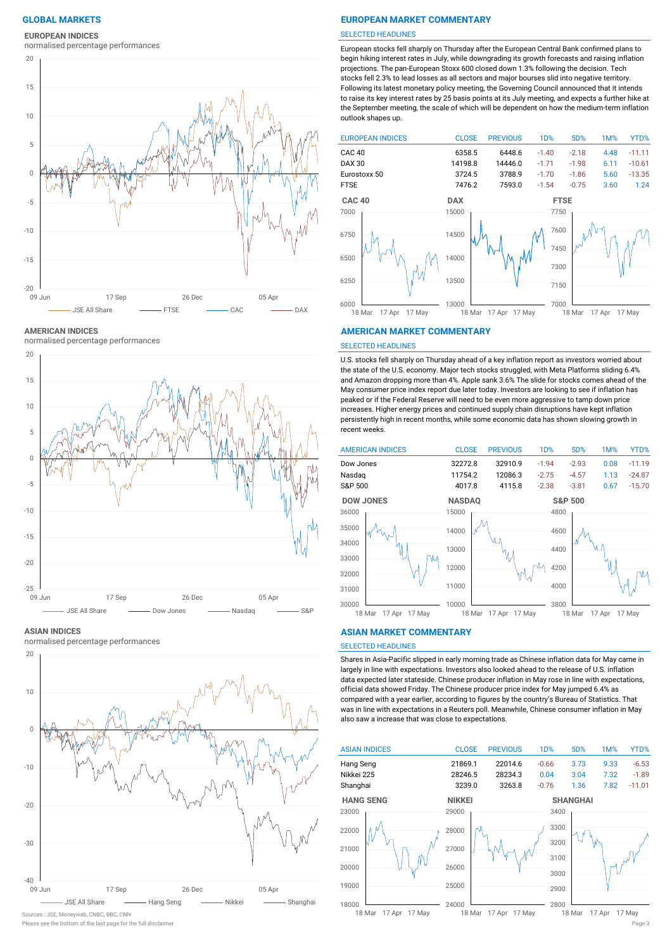# **EUROPEAN INDICES**

normalised percentage performances



**AMERICAN INDICES**

normalised percentage performances



### **ASIAN INDICES**

normalised percentage performances



### Please see the bottom of the last page for the full disclaimer Page 3 Sources : JSE, Moneyweb, CNBC, BBC, CNN

# **GLOBAL MARKETS EUROPEAN MARKET COMMENTARY**

### SELECTED HEADLINES

European stocks fell sharply on Thursday after the European Central Bank confirmed plans to begin hiking interest rates in July, while downgrading its growth forecasts and raising inflation projections. The pan-European Stoxx 600 closed down 1.3% following the decision. Tech stocks fell 2.3% to lead losses as all sectors and major bourses slid into negative territory. Following its latest monetary policy meeting, the Governing Council announced that it intends to raise its key interest rates by 25 basis points at its July meeting, and expects a further hike at the September meeting, the scale of which will be dependent on how the medium-term inflation outlook shapes up.



### **AMERICAN MARKET COMMENTARY**

### SELECTED HEADLINES

U.S. stocks fell sharply on Thursday ahead of a key inflation report as investors worried about the state of the U.S. economy. Major tech stocks struggled, with Meta Platforms sliding 6.4% and Amazon dropping more than 4%. Apple sank 3.6% The slide for stocks comes ahead of the May consumer price index report due later today. Investors are looking to see if inflation has peaked or if the Federal Reserve will need to be even more aggressive to tamp down price increases. Higher energy prices and continued supply chain disruptions have kept inflation persistently high in recent months, while some economic data has shown slowing growth in recent weeks.



### **ASIAN MARKET COMMENTARY**

# SELECTED HEADLINES

Shares in Asia-Pacific slipped in early morning trade as Chinese inflation data for May came in largely in line with expectations. Investors also looked ahead to the release of U.S. inflation data expected later stateside. Chinese producer inflation in May rose in line with expectations, official data showed Friday. The Chinese producer price index for May jumped 6.4% as compared with a year earlier, according to figures by the country's Bureau of Statistics. That was in line with expectations in a Reuters poll. Meanwhile, Chinese consumer inflation in May also saw a increase that was close to expectations.